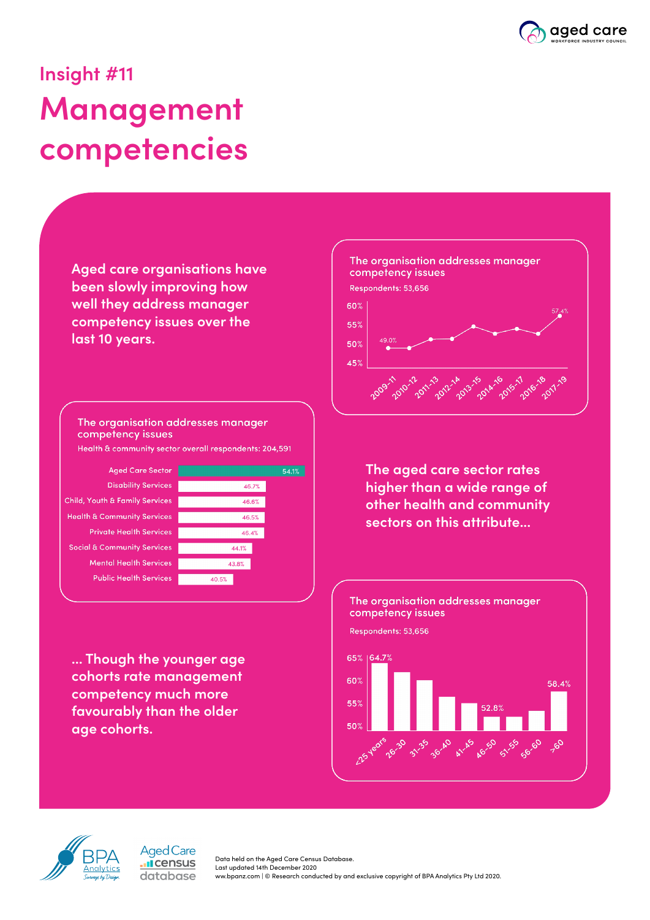

# **Insight #11 Management competencies**

**Aged care organisations have been slowly improving how well they address manager competency issues over the last 10 years.**

The organisation addresses manager competency issues

Health & community sector overall respondents: 204,591

**Aged Care Sector Disability Services** Child, Youth & Family Services **Health & Community Services Private Health Services Social & Community Services Mental Health Services Public Health Services** 



**... Though the younger age cohorts rate management competency much more favourably than the older age cohorts.** 

> **Aged Care I**census database



**The aged care sector rates higher than a wide range of other health and community sectors on this attribute...** 





Data held on the Aged Care Census Database. Last updated 14th December 2020 ww.bpanz.com | © Research conducted by and exclusive copyright of BPA Analytics Pty Ltd 2020.